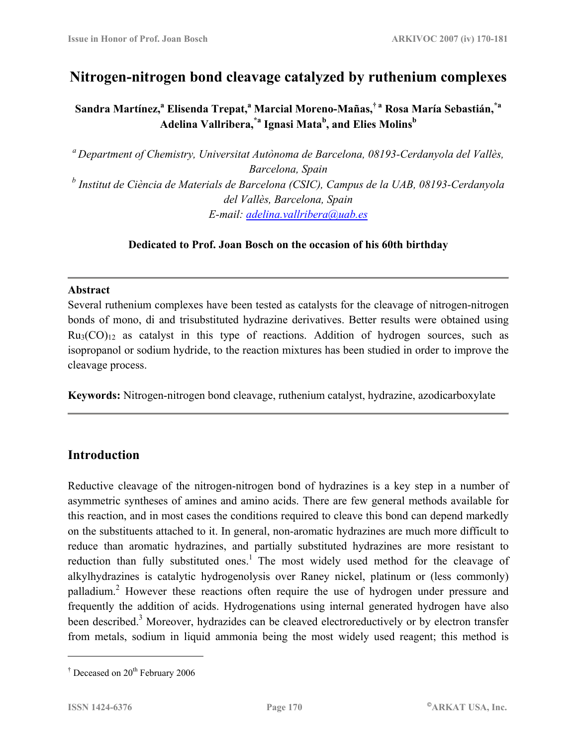# **Nitrogen-nitrogen bond cleavage catalyzed by ruthenium complexes**

 $\boldsymbol{\delta}$ Sandra Martínez, $\boldsymbol{a}$  Elisenda Trepat, $\boldsymbol{a}$  Marcial Moreno-Mañas, $\boldsymbol{\dagger}$  a Rosa María Sebastián, $\boldsymbol{\dagger}$ a **Adelina Vallribera,\*a Ignasi Matab , and Elies Molins<sup>b</sup>**

*a Department of Chemistry, Universitat Autònoma de Barcelona, 08193-Cerdanyola del Vallès, Barcelona, Spain*  <sup>b</sup> Institut de Ciència de Materials de Barcelona (CSIC), Campus de la UAB, 08193-Cerdanyola *del Vallès, Barcelona, Spain E-mail: [adelina.vallribera@uab.es](mailto:adelina.vallribera@uab.es)*

#### **Dedicated to Prof. Joan Bosch on the occasion of his 60th birthday**

#### **Abstract**

Several ruthenium complexes have been tested as catalysts for the cleavage of nitrogen-nitrogen bonds of mono, di and trisubstituted hydrazine derivatives. Better results were obtained using  $Ru<sub>3</sub>(CO)<sub>12</sub>$  as catalyst in this type of reactions. Addition of hydrogen sources, such as isopropanol or sodium hydride, to the reaction mixtures has been studied in order to improve the cleavage process.

**Keywords:** Nitrogen-nitrogen bond cleavage, ruthenium catalyst, hydrazine, azodicarboxylate

### **Introduction**

Reductive cleavage of the nitrogen-nitrogen bond of hydrazines is a key step in a number of asymmetric syntheses of amines and amino acids. There are few general methods available for this reaction, and in most cases the conditions required to cleave this bond can depend markedly on the substituents attached to it. In general, non-aromatic hydrazines are much more difficult to reduce than aromatic hydrazines, and partially substituted hydrazines are more resistant to reduction than fully substituted ones.<sup>1</sup> The most widely used method for the cleavage of alkylhydrazines is catalytic hydrogenolysis over Raney nickel, platinum or (less commonly) palladium.<sup>2</sup> However these reactions often require the use of hydrogen under pressure and frequently the addition of acids. Hydrogenations using internal generated hydrogen have also been described.<sup>3</sup> Moreover, hydrazides can be cleaved electroreductively or by electron transfer from metals, sodium in liquid ammonia being the most widely used reagent; this method is

<u>.</u>

<sup>&</sup>lt;sup> $\dagger$ </sup> Deceased on 20<sup>th</sup> February 2006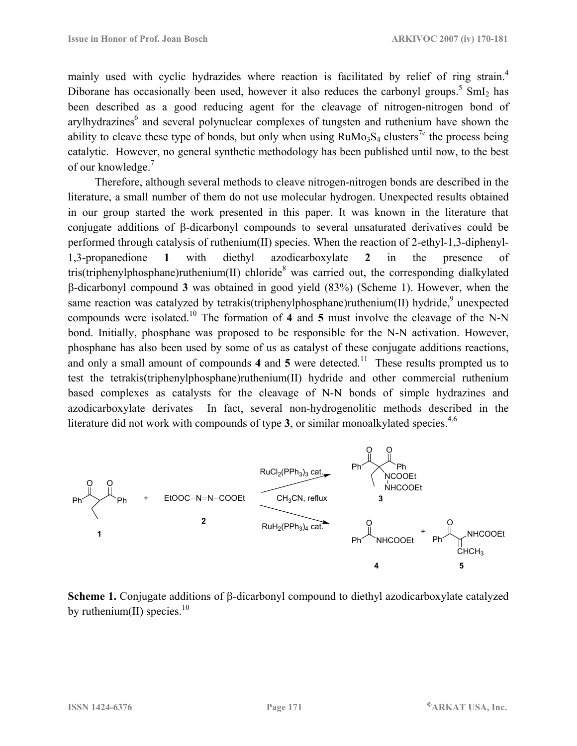mainly used with cyclic hydrazides where reaction is facilitated by relief of ring strain.<sup>4</sup> Diborane has occasionally been used, however it also reduces the carbonyl groups.<sup>5</sup> SmI<sub>2</sub> has been described as a good reducing agent for the cleavage of nitrogen-nitrogen bond of arylhydrazines<sup>6</sup> and several polynuclear complexes of tungsten and ruthenium have shown the ability to cleave these type of bonds, but only when using  $RuMo<sub>3</sub>S<sub>4</sub>$  clusters<sup>7e</sup> the process being catalytic. However, no general synthetic methodology has been published until now, to the best of our knowledge.<sup>7</sup>

 Therefore, although several methods to cleave nitrogen-nitrogen bonds are described in the literature, a small number of them do not use molecular hydrogen. Unexpected results obtained in our group started the work presented in this paper. It was known in the literature that conjugate additions of β-dicarbonyl compounds to several unsaturated derivatives could be performed through catalysis of ruthenium(II) species. When the reaction of 2-ethyl-1,3-diphenyl-1,3-propanedione **1** with diethyl azodicarboxylate **2** in the presence of tris(triphenylphosphane)ruthenium(II) chloride<sup>8</sup> was carried out, the corresponding dialkylated β-dicarbonyl compound **3** was obtained in good yield (83%) (Scheme 1). However, when the same reaction was catalyzed by tetrakis(triphenylphosphane)ruthenium(II) hydride,<sup>9</sup> unexpected compounds were isolated.10 The formation of **4** and **5** must involve the cleavage of the N-N bond. Initially, phosphane was proposed to be responsible for the N-N activation. However, phosphane has also been used by some of us as catalyst of these conjugate additions reactions, and only a small amount of compounds 4 and 5 were detected.<sup>11</sup> These results prompted us to test the tetrakis(triphenylphosphane)ruthenium(II) hydride and other commercial ruthenium based complexes as catalysts for the cleavage of N-N bonds of simple hydrazines and azodicarboxylate derivates In fact, several non-hydrogenolitic methods described in the literature did not work with compounds of type  $3$ , or similar monoalkylated species.<sup>4,6</sup>



**Scheme 1.** Conjugate additions of β-dicarbonyl compound to diethyl azodicarboxylate catalyzed by ruthenium(II) species. $10$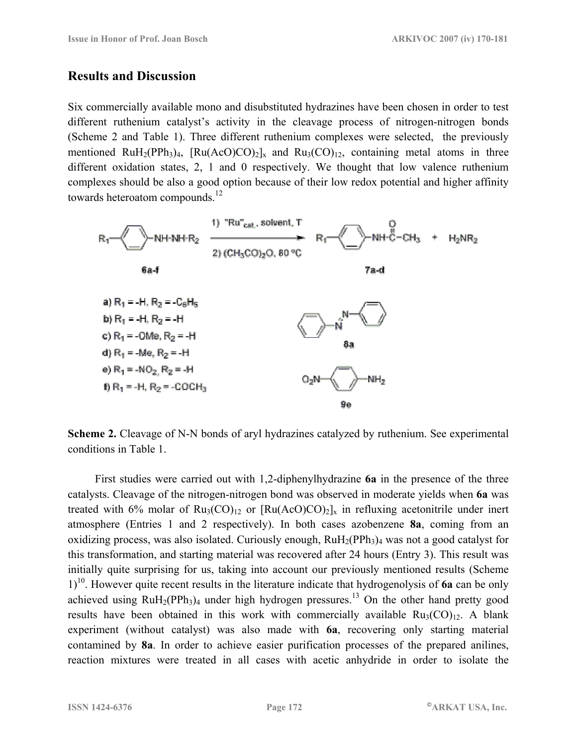### **Results and Discussion**

Six commercially available mono and disubstituted hydrazines have been chosen in order to test different ruthenium catalyst's activity in the cleavage process of nitrogen-nitrogen bonds (Scheme 2 and Table 1). Three different ruthenium complexes were selected, the previously mentioned RuH<sub>2</sub>(PPh<sub>3</sub>)<sub>4</sub>,  $[Ru(AcO)CO)_2]_x$  and  $Ru_3(CO)_{12}$ , containing metal atoms in three different oxidation states, 2, 1 and 0 respectively. We thought that low valence ruthenium complexes should be also a good option because of their low redox potential and higher affinity towards heteroatom compounds.<sup>12</sup>



**Scheme 2.** Cleavage of N-N bonds of aryl hydrazines catalyzed by ruthenium. See experimental conditions in Table 1.

 First studies were carried out with 1,2-diphenylhydrazine **6a** in the presence of the three catalysts. Cleavage of the nitrogen-nitrogen bond was observed in moderate yields when **6a** was treated with 6% molar of  $Ru_3(CO)_{12}$  or  $[Ru(AcO)CO)_2]_x$  in refluxing acetonitrile under inert atmosphere (Entries 1 and 2 respectively). In both cases azobenzene **8a**, coming from an oxidizing process, was also isolated. Curiously enough,  $RuH<sub>2</sub>(PPh<sub>3</sub>)<sub>4</sub>$  was not a good catalyst for this transformation, and starting material was recovered after 24 hours (Entry 3). This result was initially quite surprising for us, taking into account our previously mentioned results (Scheme 1)10. However quite recent results in the literature indicate that hydrogenolysis of **6a** can be only achieved using  $RuH<sub>2</sub>(PPh<sub>3</sub>)<sub>4</sub>$  under high hydrogen pressures.<sup>13</sup> On the other hand pretty good results have been obtained in this work with commercially available  $Ru_3(CO)_{12}$ . A blank experiment (without catalyst) was also made with **6a**, recovering only starting material contamined by **8a**. In order to achieve easier purification processes of the prepared anilines, reaction mixtures were treated in all cases with acetic anhydride in order to isolate the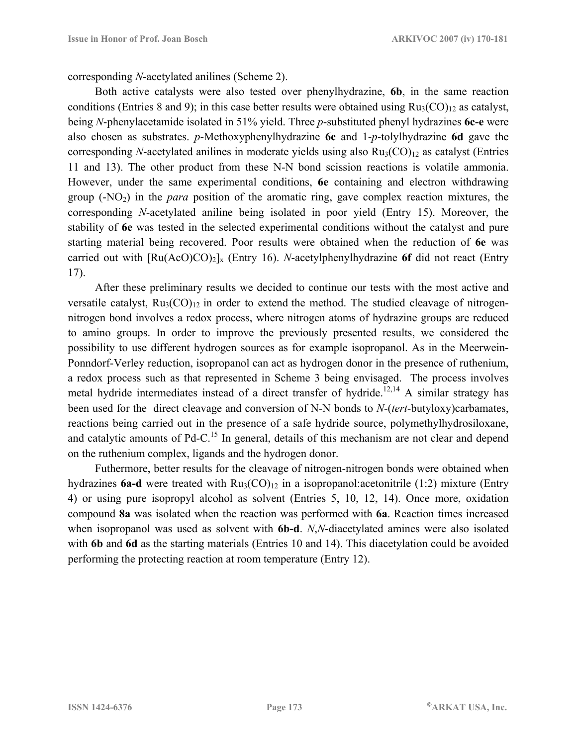corresponding *N*-acetylated anilines (Scheme 2).

 Both active catalysts were also tested over phenylhydrazine, **6b**, in the same reaction conditions (Entries 8 and 9); in this case better results were obtained using  $Ru_3(CO)_{12}$  as catalyst, being *N*-phenylacetamide isolated in 51% yield. Three *p*-substituted phenyl hydrazines **6c-e** were also chosen as substrates. *p*-Methoxyphenylhydrazine **6c** and 1-*p*-tolylhydrazine **6d** gave the corresponding *N*-acetylated anilines in moderate yields using also  $Ru<sub>3</sub>(CO)<sub>12</sub>$  as catalyst (Entries 11 and 13). The other product from these N-N bond scission reactions is volatile ammonia. However, under the same experimental conditions, **6e** containing and electron withdrawing group  $(-NO_2)$  in the *para* position of the aromatic ring, gave complex reaction mixtures, the corresponding *N*-acetylated aniline being isolated in poor yield (Entry 15). Moreover, the stability of **6e** was tested in the selected experimental conditions without the catalyst and pure starting material being recovered. Poor results were obtained when the reduction of **6e** was carried out with  $\left[\text{Ru(AcO)CO}\right)_2\right]_x$  (Entry 16). *N*-acetylphenylhydrazine 6f did not react (Entry 17).

 After these preliminary results we decided to continue our tests with the most active and versatile catalyst,  $Ru_3(CO)_{12}$  in order to extend the method. The studied cleavage of nitrogennitrogen bond involves a redox process, where nitrogen atoms of hydrazine groups are reduced to amino groups. In order to improve the previously presented results, we considered the possibility to use different hydrogen sources as for example isopropanol. As in the Meerwein-Ponndorf-Verley reduction, isopropanol can act as hydrogen donor in the presence of ruthenium, a redox process such as that represented in Scheme 3 being envisaged. The process involves metal hydride intermediates instead of a direct transfer of hydride.<sup>12,14</sup> A similar strategy has been used for the direct cleavage and conversion of N-N bonds to *N*-(*tert*-butyloxy)carbamates, reactions being carried out in the presence of a safe hydride source, polymethylhydrosiloxane, and catalytic amounts of Pd-C.<sup>15</sup> In general, details of this mechanism are not clear and depend on the ruthenium complex, ligands and the hydrogen donor.

 Futhermore, better results for the cleavage of nitrogen-nitrogen bonds were obtained when hydrazines **6a-d** were treated with  $Ru_3(CO)_{12}$  in a isopropanol: acetonitrile (1:2) mixture (Entry 4) or using pure isopropyl alcohol as solvent (Entries 5, 10, 12, 14). Once more, oxidation compound **8a** was isolated when the reaction was performed with **6a**. Reaction times increased when isopropanol was used as solvent with **6b-d**. *N*,*N*-diacetylated amines were also isolated with **6b** and **6d** as the starting materials (Entries 10 and 14). This diacetylation could be avoided performing the protecting reaction at room temperature (Entry 12).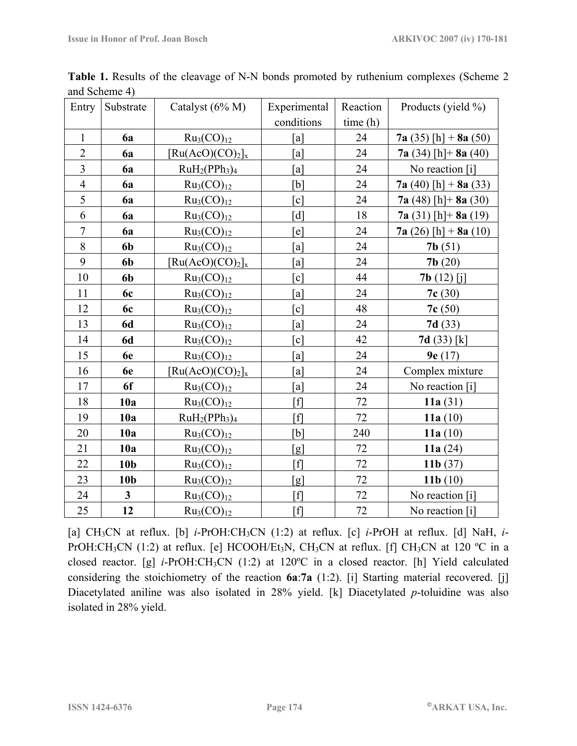| Entry          | Substrate               | Catalyst $(6\% M)$                                  | Experimental      | Reaction | Products (yield %)     |
|----------------|-------------------------|-----------------------------------------------------|-------------------|----------|------------------------|
|                |                         |                                                     | conditions        | time(h)  |                        |
| $\mathbf{1}$   | <b>6a</b>               | Ru <sub>3</sub> (CO) <sub>12</sub>                  | $\lceil a \rceil$ | 24       | 7a (35) [h] + 8a (50)  |
| $\overline{2}$ | 6a                      | $[Ru(AcO)(CO)2]_{x}$                                | [a]               | 24       | $7a(34)$ [h] + 8a (40) |
| $\overline{3}$ | 6a                      | $RuH2(PPh3)4$                                       | [a]               | 24       | No reaction [i]        |
| $\overline{4}$ | 6a                      | Ru <sub>3</sub> (CO) <sub>12</sub>                  | [b]               | 24       | 7a (40) [h] + $8a(33)$ |
| 5              | 6a                      | Ru <sub>3</sub> (CO) <sub>12</sub>                  | [c]               | 24       | $7a(48)$ [h] + 8a (30) |
| 6              | 6a                      | Ru <sub>3</sub> (CO) <sub>12</sub>                  | [d]               | 18       | $7a(31)$ [h] + 8a (19) |
| $\overline{7}$ | 6a                      | Ru <sub>3</sub> (CO) <sub>12</sub>                  | [e]               | 24       | $7a(26)$ [h] + 8a (10) |
| 8              | 6b                      | Ru <sub>3</sub> (CO) <sub>12</sub>                  | [a]               | 24       | 7b(51)                 |
| 9              | 6b                      | $\left[\text{Ru}(A\text{c}O)(\text{CO})_2\right]_x$ | [a]               | 24       | 7b(20)                 |
| 10             | 6 <sub>b</sub>          | Ru <sub>3</sub> (CO) <sub>12</sub>                  | [c]               | 44       | <b>7b</b> $(12)$ [j]   |
| 11             | 6c                      | $Ru_3(CO)_{12}$                                     | [a]               | 24       | 7c(30)                 |
| 12             | 6c                      | Ru <sub>3</sub> (CO) <sub>12</sub>                  | [c]               | 48       | 7c(50)                 |
| 13             | <b>6d</b>               | Ru <sub>3</sub> (CO) <sub>12</sub>                  | $\lceil a \rceil$ | 24       | 7d(33)                 |
| 14             | <b>6d</b>               | Ru <sub>3</sub> (CO) <sub>12</sub>                  | [c]               | 42       | 7d(33) [k]             |
| 15             | 6e                      | Ru <sub>3</sub> (CO) <sub>12</sub>                  | [a]               | 24       | 9e(17)                 |
| 16             | 6e                      | $[Ru(AcO)(CO)2]_{x}$                                | [a]               | 24       | Complex mixture        |
| 17             | 6f                      | Ru <sub>3</sub> (CO) <sub>12</sub>                  | [a]               | 24       | No reaction [i]        |
| 18             | 10a                     | Ru <sub>3</sub> (CO) <sub>12</sub>                  | [f]               | 72       | 11a $(31)$             |
| 19             | 10a                     | $RuH2(PPh3)4$                                       | $[f]$             | 72       | 11a $(10)$             |
| 20             | 10a                     | Ru <sub>3</sub> (CO) <sub>12</sub>                  | [b]               | 240      | 11a $(10)$             |
| 21             | 10a                     | Ru <sub>3</sub> (CO) <sub>12</sub>                  | [g]               | 72       | 11a $(24)$             |
| 22             | 10 <sub>b</sub>         | $Ru_3(CO)_{12}$                                     | [f]               | 72       | 11 $\mathbf{b}$ (37)   |
| 23             | 10 <sub>b</sub>         | Ru <sub>3</sub> (CO) <sub>12</sub>                  | [g]               | 72       | 11 $b(10)$             |
| 24             | $\overline{\mathbf{3}}$ | Ru <sub>3</sub> (CO) <sub>12</sub>                  | [f]               | 72       | No reaction [i]        |
| 25             | 12                      | Ru <sub>3</sub> (CO) <sub>12</sub>                  | $[f]$             | 72       | No reaction [i]        |

**Table 1.** Results of the cleavage of N-N bonds promoted by ruthenium complexes (Scheme 2 and Scheme 4)

[a] CH<sub>3</sub>CN at reflux. [b] *i*-PrOH:CH<sub>3</sub>CN (1:2) at reflux. [c] *i*-PrOH at reflux. [d] NaH, *i*-PrOH:CH<sub>3</sub>CN (1:2) at reflux. [e] HCOOH/Et<sub>3</sub>N, CH<sub>3</sub>CN at reflux. [f] CH<sub>3</sub>CN at 120 °C in a closed reactor. [g] *i*-PrOH:CH3CN (1:2) at 120ºC in a closed reactor. [h] Yield calculated considering the stoichiometry of the reaction **6a**:**7a** (1:2). [i] Starting material recovered. [j] Diacetylated aniline was also isolated in 28% yield. [k] Diacetylated *p*-toluidine was also isolated in 28% yield.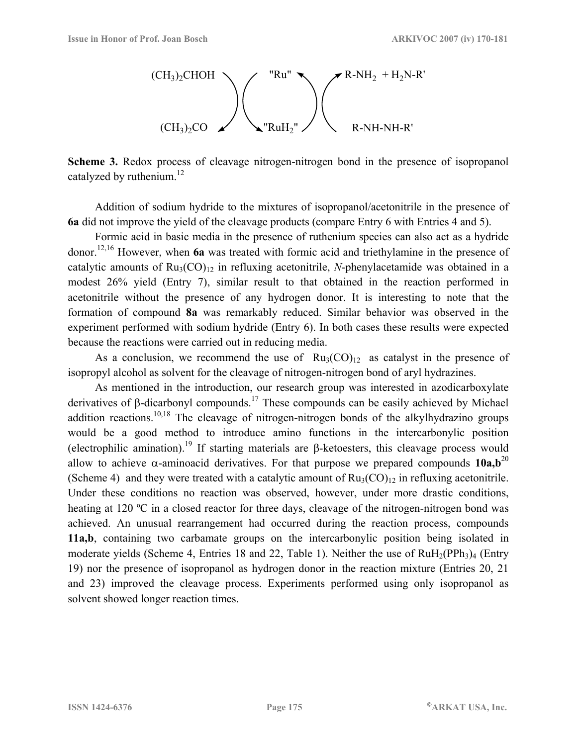

**Scheme 3.** Redox process of cleavage nitrogen-nitrogen bond in the presence of isopropanol catalyzed by ruthenium. $^{12}$ 

 Addition of sodium hydride to the mixtures of isopropanol/acetonitrile in the presence of **6a** did not improve the yield of the cleavage products (compare Entry 6 with Entries 4 and 5).

 Formic acid in basic media in the presence of ruthenium species can also act as a hydride donor.12,16 However, when **6a** was treated with formic acid and triethylamine in the presence of catalytic amounts of  $Ru_3(CO)_{12}$  in refluxing acetonitrile, *N*-phenylacetamide was obtained in a modest 26% yield (Entry 7), similar result to that obtained in the reaction performed in acetonitrile without the presence of any hydrogen donor. It is interesting to note that the formation of compound **8a** was remarkably reduced. Similar behavior was observed in the experiment performed with sodium hydride (Entry 6). In both cases these results were expected because the reactions were carried out in reducing media.

As a conclusion, we recommend the use of  $Ru_3(CO)_{12}$  as catalyst in the presence of isopropyl alcohol as solvent for the cleavage of nitrogen-nitrogen bond of aryl hydrazines.

 As mentioned in the introduction, our research group was interested in azodicarboxylate derivatives of β-dicarbonyl compounds.17 These compounds can be easily achieved by Michael addition reactions.<sup>10,18</sup> The cleavage of nitrogen-nitrogen bonds of the alkylhydrazino groups would be a good method to introduce amino functions in the intercarbonylic position (electrophilic amination).<sup>19</sup> If starting materials are β-ketoesters, this cleavage process would allow to achieve  $\alpha$ -aminoacid derivatives. For that purpose we prepared compounds **10a,b**<sup>20</sup> (Scheme 4) and they were treated with a catalytic amount of  $Ru_3(CO)_{12}$  in refluxing acetonitrile. Under these conditions no reaction was observed, however, under more drastic conditions, heating at 120 °C in a closed reactor for three days, cleavage of the nitrogen-nitrogen bond was achieved. An unusual rearrangement had occurred during the reaction process, compounds **11a,b**, containing two carbamate groups on the intercarbonylic position being isolated in moderate yields (Scheme 4, Entries 18 and 22, Table 1). Neither the use of  $RuH<sub>2</sub>(PPh<sub>3</sub>)<sub>4</sub>$  (Entry 19) nor the presence of isopropanol as hydrogen donor in the reaction mixture (Entries 20, 21 and 23) improved the cleavage process. Experiments performed using only isopropanol as solvent showed longer reaction times.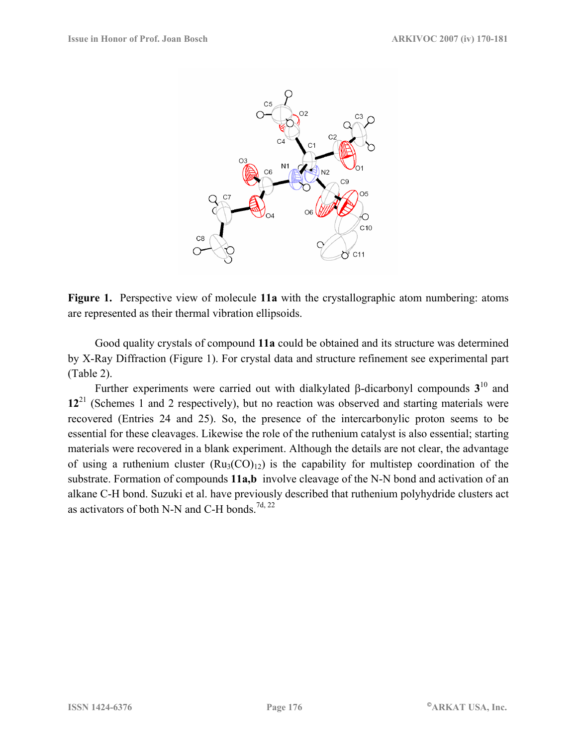

**Figure 1.** Perspective view of molecule **11a** with the crystallographic atom numbering: atoms are represented as their thermal vibration ellipsoids.

 Good quality crystals of compound **11a** could be obtained and its structure was determined by X-Ray Diffraction (Figure 1). For crystal data and structure refinement see experimental part (Table 2).

 Further experiments were carried out with dialkylated β-dicarbonyl compounds **3**10 and **12**21 (Schemes 1 and 2 respectively), but no reaction was observed and starting materials were recovered (Entries 24 and 25). So, the presence of the intercarbonylic proton seems to be essential for these cleavages. Likewise the role of the ruthenium catalyst is also essential; starting materials were recovered in a blank experiment. Although the details are not clear, the advantage of using a ruthenium cluster  $(Ru_3(CO)_{12})$  is the capability for multistep coordination of the substrate. Formation of compounds **11a,b** involve cleavage of the N-N bond and activation of an alkane C-H bond. Suzuki et al. have previously described that ruthenium polyhydride clusters act as activators of both N-N and C-H bonds.<sup>7d, 22</sup>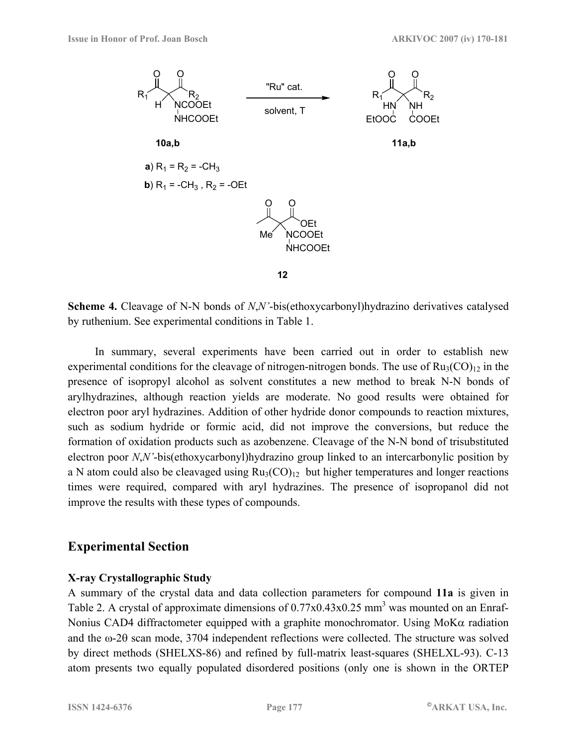

**Scheme 4.** Cleavage of N-N bonds of *N*,*N'*-bis(ethoxycarbonyl)hydrazino derivatives catalysed by ruthenium. See experimental conditions in Table 1.

 In summary, several experiments have been carried out in order to establish new experimental conditions for the cleavage of nitrogen-nitrogen bonds. The use of  $Ru_3(CO)_{12}$  in the presence of isopropyl alcohol as solvent constitutes a new method to break N-N bonds of arylhydrazines, although reaction yields are moderate. No good results were obtained for electron poor aryl hydrazines. Addition of other hydride donor compounds to reaction mixtures, such as sodium hydride or formic acid, did not improve the conversions, but reduce the formation of oxidation products such as azobenzene. Cleavage of the N-N bond of trisubstituted electron poor *N*,*N'*-bis(ethoxycarbonyl)hydrazino group linked to an intercarbonylic position by a N atom could also be cleavaged using  $Ru_3(CO)_{12}$  but higher temperatures and longer reactions times were required, compared with aryl hydrazines. The presence of isopropanol did not improve the results with these types of compounds.

#### **Experimental Section**

#### **X-ray Crystallographic Study**

A summary of the crystal data and data collection parameters for compound **11a** is given in Table 2. A crystal of approximate dimensions of  $0.77x0.43x0.25$  mm<sup>3</sup> was mounted on an Enraf-Nonius CAD4 diffractometer equipped with a graphite monochromator. Using MoKα radiation and the ω-2θ scan mode, 3704 independent reflections were collected. The structure was solved by direct methods (SHELXS-86) and refined by full-matrix least-squares (SHELXL-93). C-13 atom presents two equally populated disordered positions (only one is shown in the ORTEP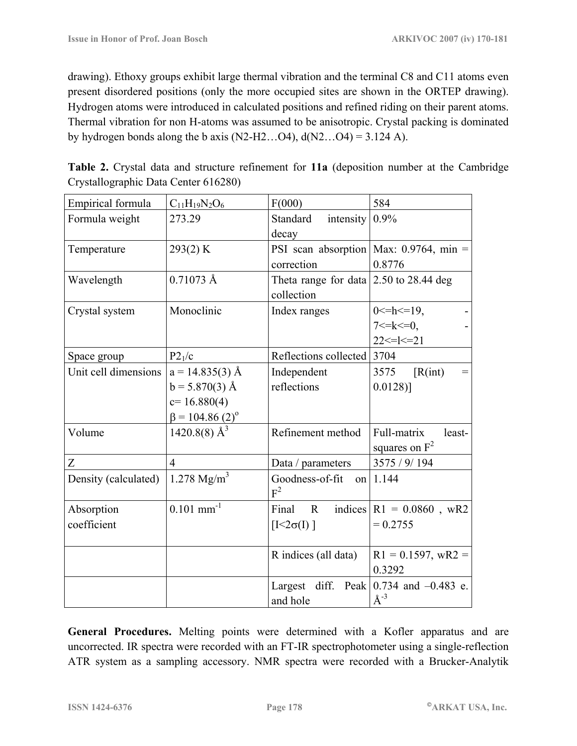drawing). Ethoxy groups exhibit large thermal vibration and the terminal C8 and C11 atoms even present disordered positions (only the more occupied sites are shown in the ORTEP drawing). Hydrogen atoms were introduced in calculated positions and refined riding on their parent atoms. Thermal vibration for non H-atoms was assumed to be anisotropic. Crystal packing is dominated by hydrogen bonds along the b axis (N2-H2...O4),  $d(N2...O4) = 3.124$  A).

| Empirical formula    | $C_{11}H_{19}N_2O_6$              | F(000)                                         | 584                                    |
|----------------------|-----------------------------------|------------------------------------------------|----------------------------------------|
| Formula weight       | 273.29                            | Standard<br>intensity                          | 0.9%                                   |
|                      |                                   | decay                                          |                                        |
| Temperature          | 293(2) K                          |                                                | PSI scan absorption Max: 0.9764, min = |
|                      |                                   | correction                                     | 0.8776                                 |
| Wavelength           | $0.71073 \text{ Å}$               | Theta range for data $\vert 2.50$ to 28.44 deg |                                        |
|                      |                                   | collection                                     |                                        |
| Crystal system       | Monoclinic                        | Index ranges                                   | $0 \le h \le 19$ ,                     |
|                      |                                   |                                                | $7 < = k < 0$ ,                        |
|                      |                                   |                                                | $22 \le l \le 21$                      |
| Space group          | P2 <sub>1</sub> /c                | Reflections collected                          | 3704                                   |
| Unit cell dimensions | $a = 14.835(3)$ Å                 | Independent                                    | $\left[ R(int) \right]$<br>3575        |
|                      | $b = 5.870(3)$ Å                  | reflections                                    | $0.0128$ ]                             |
|                      | $c=16.880(4)$                     |                                                |                                        |
|                      | $\beta$ = 104.86 (2) <sup>o</sup> |                                                |                                        |
| Volume               | $1420.8(8)$ Å <sup>3</sup>        | Refinement method                              | Full-matrix<br>least-                  |
|                      |                                   |                                                | squares on $F^2$                       |
| Z                    | $\overline{4}$                    | Data / parameters                              | 3575 / 9/194                           |
| Density (calculated) | 1.278 $Mg/m^3$                    | Goodness-of-fit                                | on $1.144$                             |
|                      |                                   | $F^2$                                          |                                        |
| Absorption           | $0.101$ mm <sup>-1</sup>          | Final<br>$\mathbf{R}$                          | indices $ R1 = 0.0860$ , wR2           |
| coefficient          |                                   | $[I<2\sigma(I)]$                               | $= 0.2755$                             |
|                      |                                   |                                                |                                        |
|                      |                                   | R indices (all data)                           | $R1 = 0.1597$ , wR2 =                  |
|                      |                                   |                                                | 0.3292                                 |
|                      |                                   | Largest diff. Peak                             | 0.734 and $-0.483$ e.                  |
|                      |                                   | and hole                                       | $\AA^{-3}$                             |

**Table 2.** Crystal data and structure refinement for **11a** (deposition number at the Cambridge Crystallographic Data Center 616280)

**General Procedures.** Melting points were determined with a Kofler apparatus and are uncorrected. IR spectra were recorded with an FT-IR spectrophotometer using a single-reflection ATR system as a sampling accessory. NMR spectra were recorded with a Brucker-Analytik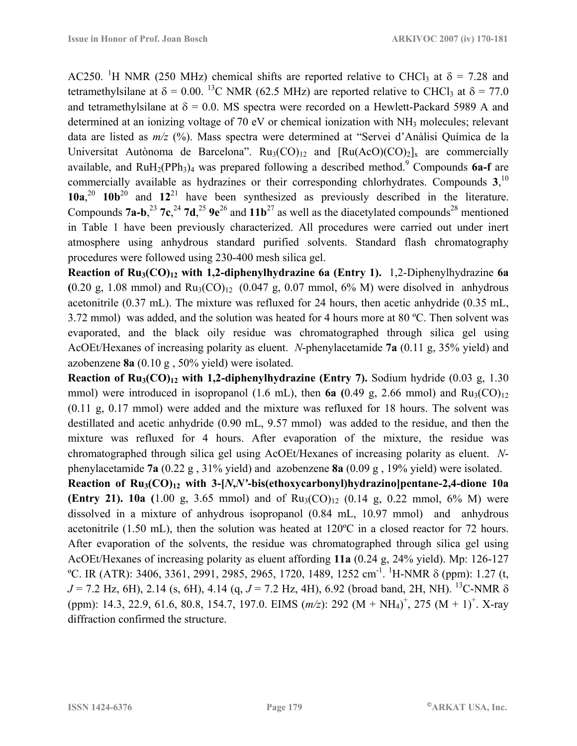AC250. <sup>1</sup>H NMR (250 MHz) chemical shifts are reported relative to CHCl<sub>3</sub> at  $\delta$  = 7.28 and tetramethylsilane at  $\delta = 0.00$ . <sup>13</sup>C NMR (62.5 MHz) are reported relative to CHCl<sub>3</sub> at  $\delta = 77.0$ and tetramethylsilane at  $\delta = 0.0$ . MS spectra were recorded on a Hewlett-Packard 5989 A and determined at an ionizing voltage of 70 eV or chemical ionization with NH<sub>3</sub> molecules; relevant data are listed as  $m/z$  (%). Mass spectra were determined at "Servei d'Anàlisi Química de la Universitat Autònoma de Barcelona".  $Ru_3(CO)_{12}$  and  $[Ru(AcO)(CO)_2]_x$  are commercially available, and  $RuH_2(PPh_3)_4$  was prepared following a described method.<sup>9</sup> Compounds 6a-f are commercially available as hydrazines or their corresponding chlorhydrates. Compounds **3**, 10 **10a**, <sup>20</sup> **10b**20 and **12**21 have been synthesized as previously described in the literature. Compounds  $7a-b$ ,<sup>23</sup>  $7c$ , <sup>24</sup>  $7d$ , <sup>25</sup>  $9e^{26}$  and  $11b^{27}$  as well as the diacetylated compounds<sup>28</sup> mentioned in Table 1 have been previously characterized. All procedures were carried out under inert atmosphere using anhydrous standard purified solvents. Standard flash chromatography procedures were followed using 230-400 mesh silica gel.

**Reaction of Ru3(CO)12 with 1,2-diphenylhydrazine 6a (Entry 1).** 1,2-Diphenylhydrazine **6a**   $(0.20 \text{ g}, 1.08 \text{ mmol})$  and  $Ru_3(CO)_{12}$   $(0.047 \text{ g}, 0.07 \text{ mmol}, 6\% \text{ M})$  were disolved in anhydrous acetonitrile (0.37 mL). The mixture was refluxed for 24 hours, then acetic anhydride (0.35 mL, 3.72 mmol) was added, and the solution was heated for 4 hours more at 80 ºC. Then solvent was evaporated, and the black oily residue was chromatographed through silica gel using AcOEt/Hexanes of increasing polarity as eluent. *N*-phenylacetamide **7a** (0.11 g, 35% yield) and azobenzene **8a** (0.10 g , 50% yield) were isolated.

**Reaction of Ru<sub>3</sub>(CO)<sub>12</sub> with 1,2-diphenylhydrazine (Entry 7).** Sodium hydride (0.03 g, 1.30) mmol) were introduced in isopropanol (1.6 mL), then  $6a$  (0.49 g, 2.66 mmol) and  $Ru<sub>3</sub>(CO)<sub>12</sub>$ (0.11 g, 0.17 mmol) were added and the mixture was refluxed for 18 hours. The solvent was destillated and acetic anhydride (0.90 mL, 9.57 mmol) was added to the residue, and then the mixture was refluxed for 4 hours. After evaporation of the mixture, the residue was chromatographed through silica gel using AcOEt/Hexanes of increasing polarity as eluent. *N*phenylacetamide **7a** (0.22 g , 31% yield) and azobenzene **8a** (0.09 g , 19% yield) were isolated.

**Reaction of Ru3(CO)12 with 3-[***N***,***N'***-bis(ethoxycarbonyl)hydrazino]pentane-2,4-dione 10a (Entry 21). 10a** (1.00 g, 3.65 mmol) and of  $Ru_3(CO)_{12}$  (0.14 g, 0.22 mmol, 6% M) were dissolved in a mixture of anhydrous isopropanol (0.84 mL, 10.97 mmol) and anhydrous acetonitrile (1.50 mL), then the solution was heated at 120ºC in a closed reactor for 72 hours. After evaporation of the solvents, the residue was chromatographed through silica gel using AcOEt/Hexanes of increasing polarity as eluent affording **11a** (0.24 g, 24% yield). Mp: 126-127 <sup>o</sup>C. IR (ATR): 3406, 3361, 2991, 2985, 2965, 1720, 1489, 1252 cm<sup>-1</sup>. <sup>1</sup>H-NMR δ (ppm): 1.27 (t, *J* = 7.2 Hz, 6H), 2.14 (s, 6H), 4.14 (q, *J* = 7.2 Hz, 4H), 6.92 (broad band, 2H, NH). 13C-NMR δ (ppm): 14.3, 22.9, 61.6, 80.8, 154.7, 197.0. EIMS  $(m/z)$ : 292 (M + NH<sub>4</sub>)<sup>+</sup>, 275 (M + 1)<sup>+</sup>. X-ray diffraction confirmed the structure.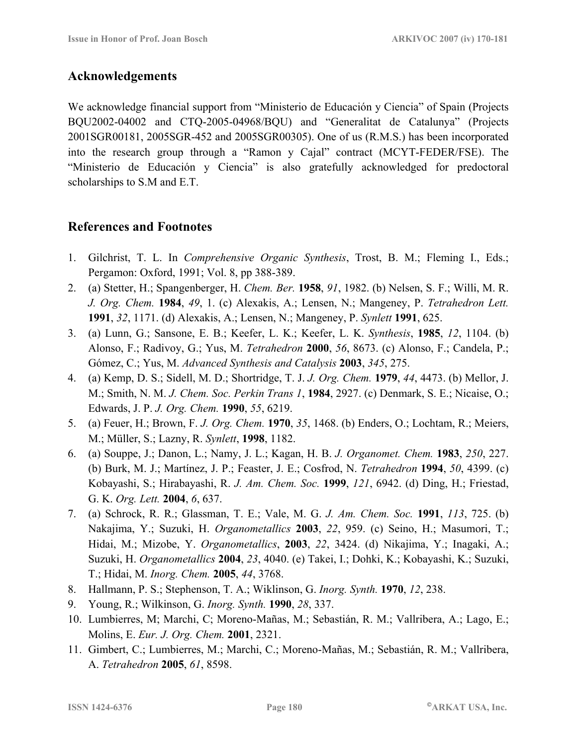### **Acknowledgements**

We acknowledge financial support from "Ministerio de Educación y Ciencia" of Spain (Projects BQU2002-04002 and CTQ-2005-04968/BQU) and "Generalitat de Catalunya" (Projects 2001SGR00181, 2005SGR-452 and 2005SGR00305). One of us (R.M.S.) has been incorporated into the research group through a "Ramon y Cajal" contract (MCYT-FEDER/FSE). The "Ministerio de Educación y Ciencia" is also gratefully acknowledged for predoctoral scholarships to S.M and E.T.

## **References and Footnotes**

- 1. Gilchrist, T. L. In *Comprehensive Organic Synthesis*, Trost, B. M.; Fleming I., Eds.; Pergamon: Oxford, 1991; Vol. 8, pp 388-389.
- 2. (a) Stetter, H.; Spangenberger, H. *Chem. Ber.* **1958**, *91*, 1982. (b) Nelsen, S. F.; Willi, M. R. *J. Org. Chem.* **1984**, *49*, 1. (c) Alexakis, A.; Lensen, N.; Mangeney, P. *Tetrahedron Lett.*  **1991**, *32*, 1171. (d) Alexakis, A.; Lensen, N.; Mangeney, P. *Synlett* **1991**, 625.
- 3. (a) Lunn, G.; Sansone, E. B.; Keefer, L. K.; Keefer, L. K. *Synthesis*, **1985**, *12*, 1104. (b) Alonso, F.; Radivoy, G.; Yus, M. *Tetrahedron* **2000**, *56*, 8673. (c) Alonso, F.; Candela, P.; Gómez, C.; Yus, M. *Advanced Synthesis and Catalysis* **2003**, *345*, 275.
- 4. (a) Kemp, D. S.; Sidell, M. D.; Shortridge, T. J. *J. Org. Chem.* **1979**, *44*, 4473. (b) Mellor, J. M.; Smith, N. M. *J. Chem. Soc. Perkin Trans 1*, **1984**, 2927. (c) Denmark, S. E.; Nicaise, O.; Edwards, J. P. *J. Org. Chem.* **1990**, *55*, 6219.
- 5. (a) Feuer, H.; Brown, F. *J. Org. Chem.* **1970**, *35*, 1468. (b) Enders, O.; Lochtam, R.; Meiers, M.; Müller, S.; Lazny, R. *Synlett*, **1998**, 1182.
- 6. (a) Souppe, J.; Danon, L.; Namy, J. L.; Kagan, H. B. *J. Organomet. Chem.* **1983**, *250*, 227. (b) Burk, M. J.; Martínez, J. P.; Feaster, J. E.; Cosfrod, N. *Tetrahedron* **1994**, *50*, 4399. (c) Kobayashi, S.; Hirabayashi, R. *J. Am. Chem. Soc.* **1999**, *121*, 6942. (d) Ding, H.; Friestad, G. K. *Org. Lett.* **2004**, *6*, 637.
- 7. (a) Schrock, R. R.; Glassman, T. E.; Vale, M. G. *J. Am. Chem. Soc.* **1991**, *113*, 725. (b) Nakajima, Y.; Suzuki, H. *Organometallics* **2003**, *22*, 959. (c) Seino, H.; Masumori, T.; Hidai, M.; Mizobe, Y. *Organometallics*, **2003**, *22*, 3424. (d) Nikajima, Y.; Inagaki, A.; Suzuki, H. *Organometallics* **2004**, *23*, 4040. (e) Takei, I.; Dohki, K.; Kobayashi, K.; Suzuki, T.; Hidai, M. *Inorg. Chem.* **2005**, *44*, 3768.
- 8. Hallmann, P. S.; Stephenson, T. A.; Wiklinson, G. *Inorg. Synth.* **1970**, *12*, 238.
- 9. Young, R.; Wilkinson, G. *Inorg. Synth.* **1990**, *28*, 337.
- 10. Lumbierres, M; Marchi, C; Moreno-Mañas, M.; Sebastián, R. M.; Vallribera, A.; Lago, E.; Molins, E. *Eur. J. Org. Chem.* **2001**, 2321.
- 11. Gimbert, C.; Lumbierres, M.; Marchi, C.; Moreno-Mañas, M.; Sebastián, R. M.; Vallribera, A. *Tetrahedron* **2005**, *61*, 8598.